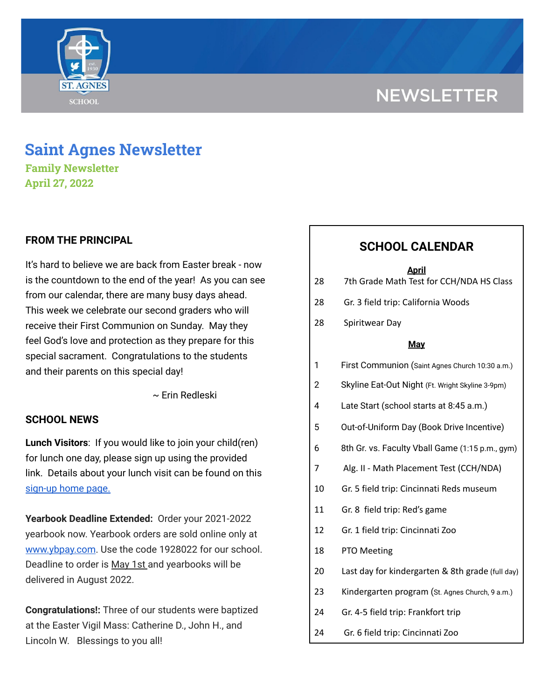# **NEWSLETTER**



# **Saint Agnes Newsletter**

**Family Newsletter April 27, 2022**

# **FROM THE PRINCIPAL**

It's hard to believe we are back from Easter break - now is the countdown to the end of the year! As you can see from our calendar, there are many busy days ahead. This week we celebrate our second graders who will receive their First Communion on Sunday. May they feel God's love and protection as they prepare for this special sacrament. Congratulations to the students and their parents on this special day!

~ Erin Redleski

# **SCHOOL NEWS**

**Lunch Visitors**: If you would like to join your child(ren) for lunch one day, please sign up using the provided link. Details about your lunch visit can be found on this [sign-up](https://signup.com/Group/7270313220456800119/) home page.

**Yearbook Deadline Extended:** Order your 2021-2022 yearbook now. Yearbook orders are sold online only a[t](http://www.ybpay.lifetouch.com/) [www.ybpay.com](http://www.ybpay.lifetouch.com/). Use the code 1928022 for our school. Deadline to order is May 1st and yearbooks will be delivered in August 2022.

**Congratulations!:** Three of our students were baptized at the Easter Vigil Mass: Catherine D., John H., and Lincoln W. Blessings to you all!

# **SCHOOL CALENDAR**

#### **April**

| 28 | 7th Grade Math Test for CCH/NDA HS Class |
|----|------------------------------------------|
|    |                                          |

- 28 Gr. 3 field trip: California Woods
- 28 Spiritwear Day

#### **May**

- 1 First Communion (Saint Agnes Church 10:30 a.m.)
- 2 Skyline Eat-Out Night (Ft. Wright Skyline 3-9pm)
- 4 Late Start (school starts at 8:45 a.m.)
- 5 Out-of-Uniform Day (Book Drive Incentive)
- 6 8th Gr. vs. Faculty Vball Game (1:15 p.m., gym)
- 7 Alg. II Math Placement Test (CCH/NDA)
- 10 Gr. 5 field trip: Cincinnati Reds museum
- 11 Gr. 8 field trip: Red's game
- 12 Gr. 1 field trip: Cincinnati Zoo
- 18 PTO Meeting
- 20 Last day for kindergarten & 8th grade (full day)
- 23 Kindergarten program (St. Agnes Church, 9 a.m.)
- 24 Gr. 4-5 field trip: Frankfort trip
- 24 Gr. 6 field trip: Cincinnati Zoo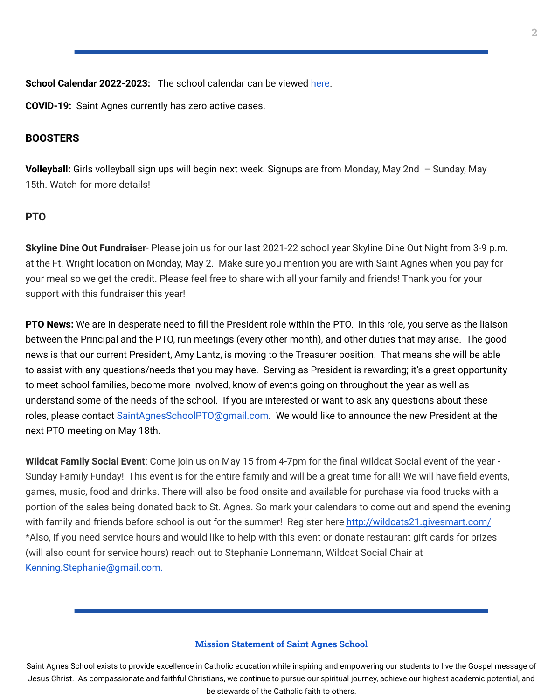**School Calendar 2022-2023:** The school calendar can be viewed [here](https://docs.google.com/document/d/19Jca5qDUn0PL7orYjTM3_tiJTiT1MqUm7a4nh3h5hlk/edit?usp=sharing).

**COVID-19:** Saint Agnes currently has zero active cases.

### **BOOSTERS**

**Volleyball:** Girls volleyball sign ups will begin next week. Signups are from Monday, May 2nd – Sunday, May 15th. Watch for more details!

#### **PTO**

**Skyline Dine Out Fundraiser**- Please join us for our last 2021-22 school year Skyline Dine Out Night from 3-9 p.m. at the Ft. Wright location on Monday, May 2. Make sure you mention you are with Saint Agnes when you pay for your meal so we get the credit. Please feel free to share with all your family and friends! Thank you for your support with this fundraiser this year!

**PTO News:** We are in desperate need to fill the President role within the PTO. In this role, you serve as the liaison between the Principal and the PTO, run meetings (every other month), and other duties that may arise. The good news is that our current President, Amy Lantz, is moving to the Treasurer position. That means she will be able to assist with any questions/needs that you may have. Serving as President is rewarding; it's a great opportunity to meet school families, become more involved, know of events going on throughout the year as well as understand some of the needs of the school. If you are interested or want to ask any questions about these roles, please contact SaintAgnesSchoolPTO@gmail.com. We would like to announce the new President at the next PTO meeting on May 18th.

**Wildcat Family Social Event**: Come join us on May 15 from 4-7pm for the final Wildcat Social event of the year - Sunday Family Funday! This event is for the entire family and will be a great time for all! We will have field events, games, music, food and drinks. There will also be food onsite and available for purchase via food trucks with a portion of the sales being donated back to St. Agnes. So mark your calendars to come out and spend the evening with family and friends before school is out for the summer! Register here <http://wildcats21.givesmart.com/> \*Also, if you need service hours and would like to help with this event or donate restaurant gift cards for prizes (will also count for service hours) reach out to Stephanie Lonnemann, Wildcat Social Chair at Kenning.Stephanie@gmail.com.

#### **Mission Statement of Saint Agnes School**

Saint Agnes School exists to provide excellence in Catholic education while inspiring and empowering our students to live the Gospel message of Jesus Christ. As compassionate and faithful Christians, we continue to pursue our spiritual journey, achieve our highest academic potential, and be stewards of the Catholic faith to others.